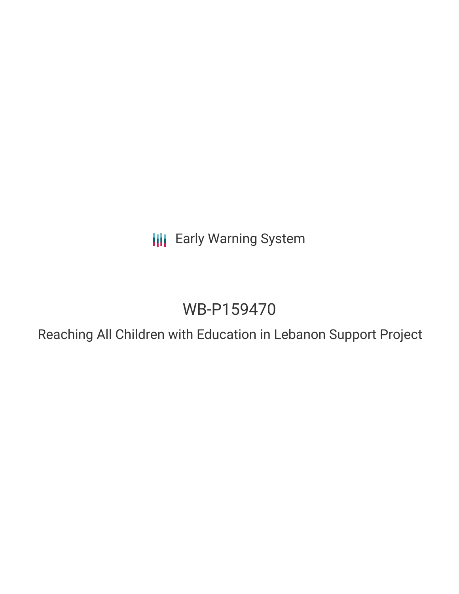**III** Early Warning System

# WB-P159470

Reaching All Children with Education in Lebanon Support Project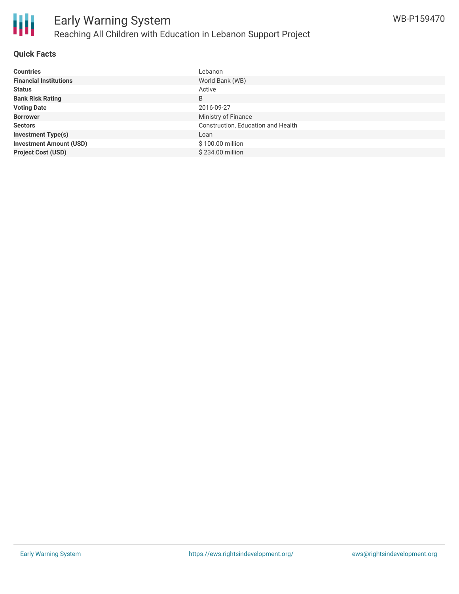

#### **Quick Facts**

| <b>Countries</b>               | Lebanon                            |
|--------------------------------|------------------------------------|
| <b>Financial Institutions</b>  | World Bank (WB)                    |
| <b>Status</b>                  | Active                             |
| <b>Bank Risk Rating</b>        | B                                  |
| <b>Voting Date</b>             | 2016-09-27                         |
| <b>Borrower</b>                | Ministry of Finance                |
| <b>Sectors</b>                 | Construction, Education and Health |
| <b>Investment Type(s)</b>      | Loan                               |
| <b>Investment Amount (USD)</b> | \$100.00 million                   |
| <b>Project Cost (USD)</b>      | \$234.00 million                   |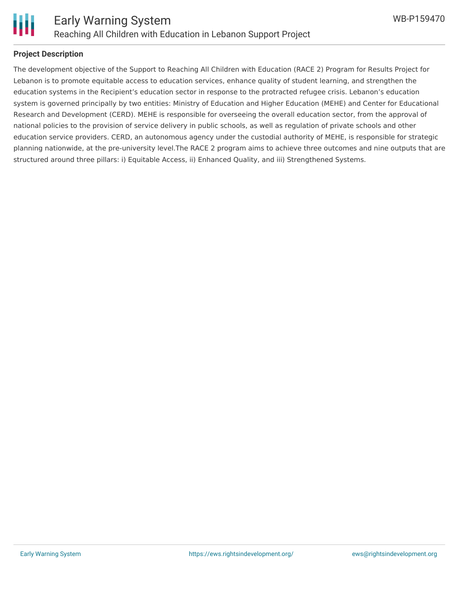

## **Project Description**

The development objective of the Support to Reaching All Children with Education (RACE 2) Program for Results Project for Lebanon is to promote equitable access to education services, enhance quality of student learning, and strengthen the education systems in the Recipient's education sector in response to the protracted refugee crisis. Lebanon's education system is governed principally by two entities: Ministry of Education and Higher Education (MEHE) and Center for Educational Research and Development (CERD). MEHE is responsible for overseeing the overall education sector, from the approval of national policies to the provision of service delivery in public schools, as well as regulation of private schools and other education service providers. CERD, an autonomous agency under the custodial authority of MEHE, is responsible for strategic planning nationwide, at the pre-university level.The RACE 2 program aims to achieve three outcomes and nine outputs that are structured around three pillars: i) Equitable Access, ii) Enhanced Quality, and iii) Strengthened Systems.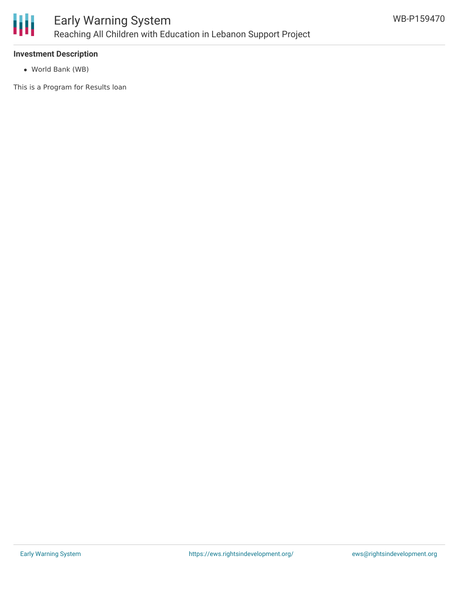

## **Investment Description**

World Bank (WB)

This is a Program for Results loan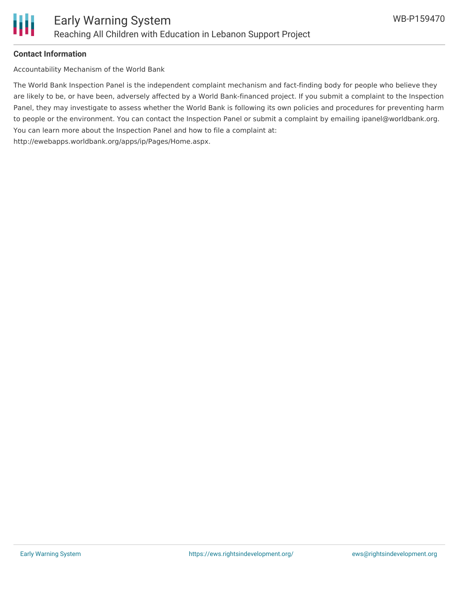

## **Contact Information**

Accountability Mechanism of the World Bank

The World Bank Inspection Panel is the independent complaint mechanism and fact-finding body for people who believe they are likely to be, or have been, adversely affected by a World Bank-financed project. If you submit a complaint to the Inspection Panel, they may investigate to assess whether the World Bank is following its own policies and procedures for preventing harm to people or the environment. You can contact the Inspection Panel or submit a complaint by emailing ipanel@worldbank.org. You can learn more about the Inspection Panel and how to file a complaint at: http://ewebapps.worldbank.org/apps/ip/Pages/Home.aspx.